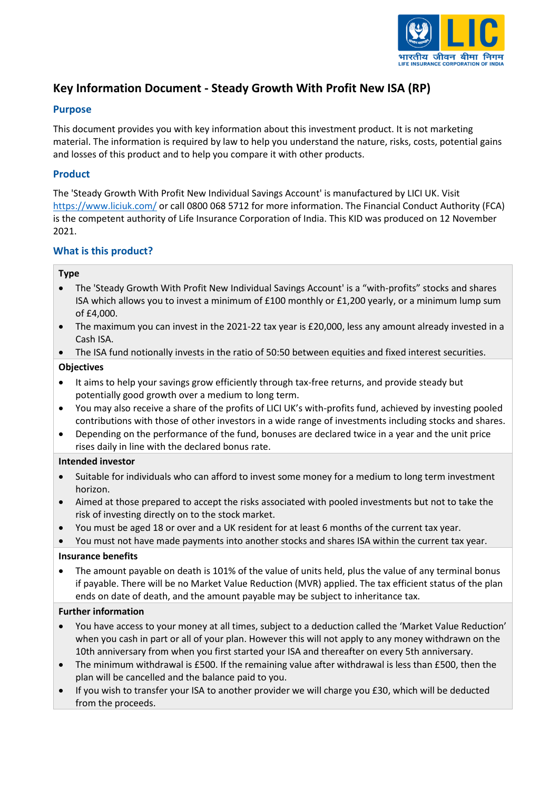

# **Key Information Document - Steady Growth With Profit New ISA (RP)**

# **Purpose**

This document provides you with key information about this investment product. It is not marketing material. The information is required by law to help you understand the nature, risks, costs, potential gains and losses of this product and to help you compare it with other products.

# **Product**

The 'Steady Growth With Profit New Individual Savings Account' is manufactured by LICI UK. Visit <https://www.liciuk.com/> or call 0800 068 5712 for more information. The Financial Conduct Authority (FCA) is the competent authority of Life Insurance Corporation of India. This KID was produced on 12 November 2021.

# **What is this product?**

# **Type**

- The 'Steady Growth With Profit New Individual Savings Account' is a "with-profits" stocks and shares ISA which allows you to invest a minimum of £100 monthly or £1,200 yearly, or a minimum lump sum of £4,000.
- The maximum you can invest in the 2021-22 tax year is £20,000, less any amount already invested in a Cash ISA.
- The ISA fund notionally invests in the ratio of 50:50 between equities and fixed interest securities.

# **Objectives**

- It aims to help your savings grow efficiently through tax-free returns, and provide steady but potentially good growth over a medium to long term.
- You may also receive a share of the profits of LICI UK's with-profits fund, achieved by investing pooled contributions with those of other investors in a wide range of investments including stocks and shares.
- Depending on the performance of the fund, bonuses are declared twice in a year and the unit price rises daily in line with the declared bonus rate.

# **Intended investor**

- Suitable for individuals who can afford to invest some money for a medium to long term investment horizon.
- Aimed at those prepared to accept the risks associated with pooled investments but not to take the risk of investing directly on to the stock market.
- You must be aged 18 or over and a UK resident for at least 6 months of the current tax year.

• You must not have made payments into another stocks and shares ISA within the current tax year.

# **Insurance benefits**

• The amount payable on death is 101% of the value of units held, plus the value of any terminal bonus if payable. There will be no Market Value Reduction (MVR) applied. The tax efficient status of the plan ends on date of death, and the amount payable may be subject to inheritance tax.

# **Further information**

- You have access to your money at all times, subject to a deduction called the 'Market Value Reduction' when you cash in part or all of your plan. However this will not apply to any money withdrawn on the 10th anniversary from when you first started your ISA and thereafter on every 5th anniversary.
- The minimum withdrawal is £500. If the remaining value after withdrawal is less than £500, then the plan will be cancelled and the balance paid to you.
- If you wish to transfer your ISA to another provider we will charge you £30, which will be deducted from the proceeds.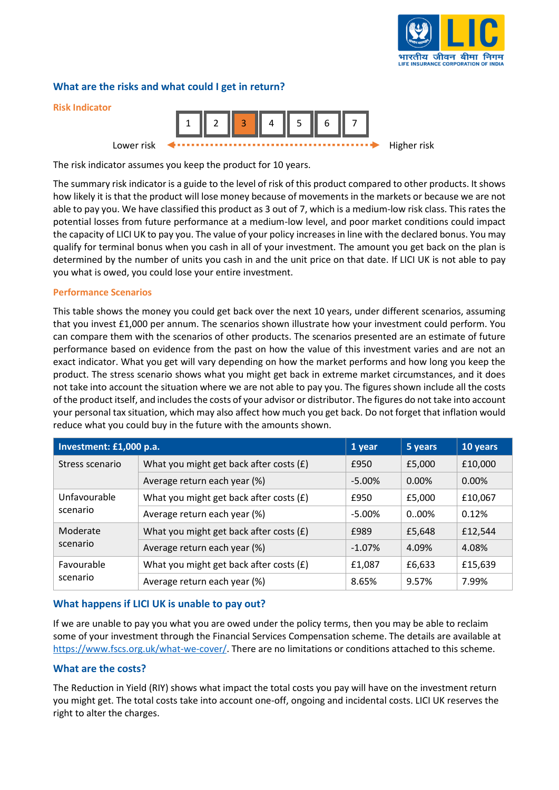

# **What are the risks and what could I get in return?**



The risk indicator assumes you keep the product for 10 years.

The summary risk indicator is a guide to the level of risk of this product compared to other products. It shows how likely it is that the product will lose money because of movements in the markets or because we are not able to pay you. We have classified this product as 3 out of 7, which is a medium-low risk class. This rates the potential losses from future performance at a medium-low level, and poor market conditions could impact the capacity of LICI UK to pay you. The value of your policy increases in line with the declared bonus. You may qualify for terminal bonus when you cash in all of your investment. The amount you get back on the plan is determined by the number of units you cash in and the unit price on that date. If LICI UK is not able to pay you what is owed, you could lose your entire investment.

#### **Performance Scenarios**

This table shows the money you could get back over the next 10 years, under different scenarios, assuming that you invest £1,000 per annum. The scenarios shown illustrate how your investment could perform. You can compare them with the scenarios of other products. The scenarios presented are an estimate of future performance based on evidence from the past on how the value of this investment varies and are not an exact indicator. What you get will vary depending on how the market performs and how long you keep the product. The stress scenario shows what you might get back in extreme market circumstances, and it does not take into account the situation where we are not able to pay you. The figures shown include all the costs of the product itself, and includes the costs of your advisor or distributor. The figures do not take into account your personal tax situation, which may also affect how much you get back. Do not forget that inflation would reduce what you could buy in the future with the amounts shown.

| Investment: £1,000 p.a.  |                                           | 1 year    | 5 years  | 10 years |
|--------------------------|-------------------------------------------|-----------|----------|----------|
| Stress scenario          | What you might get back after costs $(f)$ | £950      | £5,000   | £10,000  |
|                          | Average return each year (%)              | $-5.00\%$ | 0.00%    | 0.00%    |
| Unfavourable<br>scenario | What you might get back after costs (£)   | £950      | £5,000   | £10,067  |
|                          | Average return each year (%)              | $-5.00\%$ | $0.00\%$ | 0.12%    |
| Moderate<br>scenario     | What you might get back after costs (£)   | £989      | £5,648   | £12,544  |
|                          | Average return each year (%)              | $-1.07%$  | 4.09%    | 4.08%    |
| Favourable<br>scenario   | What you might get back after costs (£)   | £1,087    | £6,633   | £15,639  |
|                          | Average return each year (%)              | 8.65%     | 9.57%    | 7.99%    |

# **What happens if LICI UK is unable to pay out?**

If we are unable to pay you what you are owed under the policy terms, then you may be able to reclaim some of your investment through the Financial Services Compensation scheme. The details are available at [https://www.fscs.org.uk/what-we-cover/.](https://www.fscs.org.uk/what-we-cover/) There are no limitations or conditions attached to this scheme.

# **What are the costs?**

The Reduction in Yield (RIY) shows what impact the total costs you pay will have on the investment return you might get. The total costs take into account one-off, ongoing and incidental costs. LICI UK reserves the right to alter the charges.